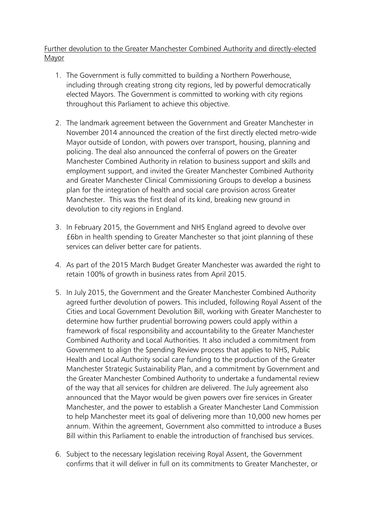Further devolution to the Greater Manchester Combined Authority and directly-elected Mayor

- 1. The Government is fully committed to building a Northern Powerhouse, including through creating strong city regions, led by powerful democratically elected Mayors. The Government is committed to working with city regions throughout this Parliament to achieve this objective.
- 2. The landmark agreement between the Government and Greater Manchester in November 2014 announced the creation of the first directly elected metro-wide Mayor outside of London, with powers over transport, housing, planning and policing. The deal also announced the conferral of powers on the Greater Manchester Combined Authority in relation to business support and skills and employment support, and invited the Greater Manchester Combined Authority and Greater Manchester Clinical Commissioning Groups to develop a business plan for the integration of health and social care provision across Greater Manchester. This was the first deal of its kind, breaking new ground in devolution to city regions in England.
- 3. In February 2015, the Government and NHS England agreed to devolve over £6bn in health spending to Greater Manchester so that joint planning of these services can deliver better care for patients.
- 4. As part of the 2015 March Budget Greater Manchester was awarded the right to retain 100% of growth in business rates from April 2015.
- 5. In July 2015, the Government and the Greater Manchester Combined Authority agreed further devolution of powers. This included, following Royal Assent of the Cities and Local Government Devolution Bill, working with Greater Manchester to determine how further prudential borrowing powers could apply within a framework of fiscal responsibility and accountability to the Greater Manchester Combined Authority and Local Authorities. It also included a commitment from Government to align the Spending Review process that applies to NHS, Public Health and Local Authority social care funding to the production of the Greater Manchester Strategic Sustainability Plan, and a commitment by Government and the Greater Manchester Combined Authority to undertake a fundamental review of the way that all services for children are delivered. The July agreement also announced that the Mayor would be given powers over fire services in Greater Manchester, and the power to establish a Greater Manchester Land Commission to help Manchester meet its goal of delivering more than 10,000 new homes per annum. Within the agreement, Government also committed to introduce a Buses Bill within this Parliament to enable the introduction of franchised bus services.
- 6. Subject to the necessary legislation receiving Royal Assent, the Government confirms that it will deliver in full on its commitments to Greater Manchester, or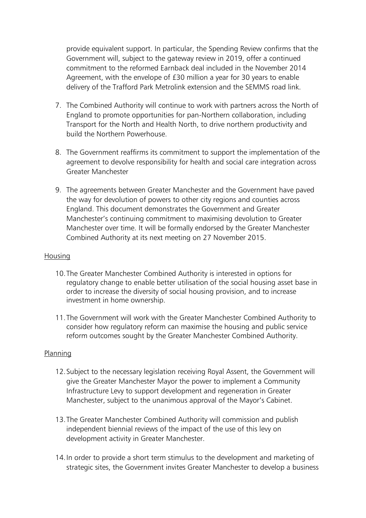provide equivalent support. In particular, the Spending Review confirms that the Government will, subject to the gateway review in 2019, offer a continued commitment to the reformed Earnback deal included in the November 2014 Agreement, with the envelope of £30 million a year for 30 years to enable delivery of the Trafford Park Metrolink extension and the SEMMS road link.

- 7. The Combined Authority will continue to work with partners across the North of England to promote opportunities for pan-Northern collaboration, including Transport for the North and Health North, to drive northern productivity and build the Northern Powerhouse.
- 8. The Government reaffirms its commitment to support the implementation of the agreement to devolve responsibility for health and social care integration across Greater Manchester
- 9. The agreements between Greater Manchester and the Government have paved the way for devolution of powers to other city regions and counties across England. This document demonstrates the Government and Greater Manchester's continuing commitment to maximising devolution to Greater Manchester over time. It will be formally endorsed by the Greater Manchester Combined Authority at its next meeting on 27 November 2015.

# Housing

- 10.The Greater Manchester Combined Authority is interested in options for regulatory change to enable better utilisation of the social housing asset base in order to increase the diversity of social housing provision, and to increase investment in home ownership.
- 11.The Government will work with the Greater Manchester Combined Authority to consider how regulatory reform can maximise the housing and public service reform outcomes sought by the Greater Manchester Combined Authority.

# Planning

- 12.Subject to the necessary legislation receiving Royal Assent, the Government will give the Greater Manchester Mayor the power to implement a Community Infrastructure Levy to support development and regeneration in Greater Manchester, subject to the unanimous approval of the Mayor's Cabinet.
- 13.The Greater Manchester Combined Authority will commission and publish independent biennial reviews of the impact of the use of this levy on development activity in Greater Manchester.
- 14.In order to provide a short term stimulus to the development and marketing of strategic sites, the Government invites Greater Manchester to develop a business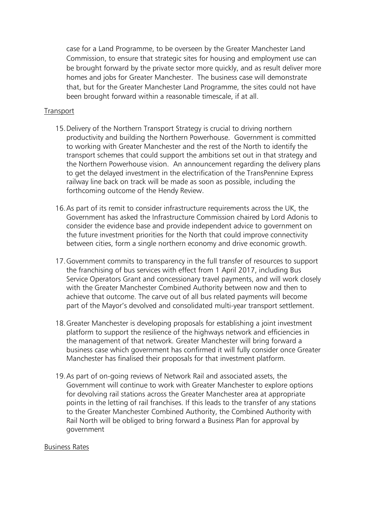case for a Land Programme, to be overseen by the Greater Manchester Land Commission, to ensure that strategic sites for housing and employment use can be brought forward by the private sector more quickly, and as result deliver more homes and jobs for Greater Manchester. The business case will demonstrate that, but for the Greater Manchester Land Programme, the sites could not have been brought forward within a reasonable timescale, if at all.

#### Transport

- 15.Delivery of the Northern Transport Strategy is crucial to driving northern productivity and building the Northern Powerhouse. Government is committed to working with Greater Manchester and the rest of the North to identify the transport schemes that could support the ambitions set out in that strategy and the Northern Powerhouse vision. An announcement regarding the delivery plans to get the delayed investment in the electrification of the TransPennine Express railway line back on track will be made as soon as possible, including the forthcoming outcome of the Hendy Review.
- 16.As part of its remit to consider infrastructure requirements across the UK, the Government has asked the Infrastructure Commission chaired by Lord Adonis to consider the evidence base and provide independent advice to government on the future investment priorities for the North that could improve connectivity between cities, form a single northern economy and drive economic growth.
- 17.Government commits to transparency in the full transfer of resources to support the franchising of bus services with effect from 1 April 2017, including Bus Service Operators Grant and concessionary travel payments, and will work closely with the Greater Manchester Combined Authority between now and then to achieve that outcome. The carve out of all bus related payments will become part of the Mayor's devolved and consolidated multi-year transport settlement.
- 18.Greater Manchester is developing proposals for establishing a joint investment platform to support the resilience of the highways network and efficiencies in the management of that network. Greater Manchester will bring forward a business case which government has confirmed it will fully consider once Greater Manchester has finalised their proposals for that investment platform.
- 19.As part of on-going reviews of Network Rail and associated assets, the Government will continue to work with Greater Manchester to explore options for devolving rail stations across the Greater Manchester area at appropriate points in the letting of rail franchises. If this leads to the transfer of any stations to the Greater Manchester Combined Authority, the Combined Authority with Rail North will be obliged to bring forward a Business Plan for approval by government

#### Business Rates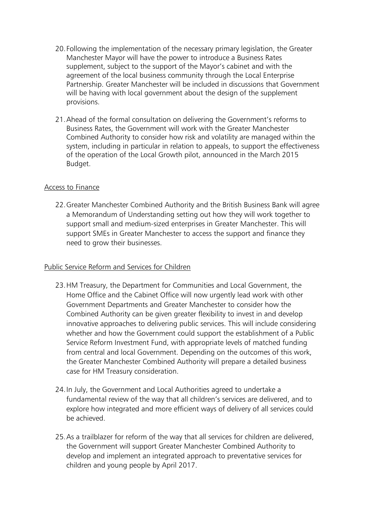- 20.Following the implementation of the necessary primary legislation, the Greater Manchester Mayor will have the power to introduce a Business Rates supplement, subject to the support of the Mayor's cabinet and with the agreement of the local business community through the Local Enterprise Partnership. Greater Manchester will be included in discussions that Government will be having with local government about the design of the supplement provisions.
- 21.Ahead of the formal consultation on delivering the Government's reforms to Business Rates, the Government will work with the Greater Manchester Combined Authority to consider how risk and volatility are managed within the system, including in particular in relation to appeals, to support the effectiveness of the operation of the Local Growth pilot, announced in the March 2015 Budget.

# Access to Finance

22.Greater Manchester Combined Authority and the British Business Bank will agree a Memorandum of Understanding setting out how they will work together to support small and medium-sized enterprises in Greater Manchester. This will support SMEs in Greater Manchester to access the support and finance they need to grow their businesses.

### Public Service Reform and Services for Children

- 23.HM Treasury, the Department for Communities and Local Government, the Home Office and the Cabinet Office will now urgently lead work with other Government Departments and Greater Manchester to consider how the Combined Authority can be given greater flexibility to invest in and develop innovative approaches to delivering public services. This will include considering whether and how the Government could support the establishment of a Public Service Reform Investment Fund, with appropriate levels of matched funding from central and local Government. Depending on the outcomes of this work, the Greater Manchester Combined Authority will prepare a detailed business case for HM Treasury consideration.
- 24.In July, the Government and Local Authorities agreed to undertake a fundamental review of the way that all children's services are delivered, and to explore how integrated and more efficient ways of delivery of all services could be achieved.
- 25.As a trailblazer for reform of the way that all services for children are delivered, the Government will support Greater Manchester Combined Authority to develop and implement an integrated approach to preventative services for children and young people by April 2017.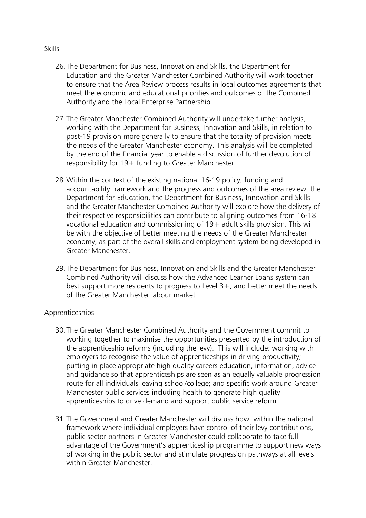- 26.The Department for Business, Innovation and Skills, the Department for Education and the Greater Manchester Combined Authority will work together to ensure that the Area Review process results in local outcomes agreements that meet the economic and educational priorities and outcomes of the Combined Authority and the Local Enterprise Partnership.
- 27.The Greater Manchester Combined Authority will undertake further analysis, working with the Department for Business, Innovation and Skills, in relation to post-19 provision more generally to ensure that the totality of provision meets the needs of the Greater Manchester economy. This analysis will be completed by the end of the financial year to enable a discussion of further devolution of responsibility for 19+ funding to Greater Manchester.
- 28.Within the context of the existing national 16-19 policy, funding and accountability framework and the progress and outcomes of the area review, the Department for Education, the Department for Business, Innovation and Skills and the Greater Manchester Combined Authority will explore how the delivery of their respective responsibilities can contribute to aligning outcomes from 16-18 vocational education and commissioning of 19+ adult skills provision. This will be with the objective of better meeting the needs of the Greater Manchester economy, as part of the overall skills and employment system being developed in Greater Manchester.
- 29.The Department for Business, Innovation and Skills and the Greater Manchester Combined Authority will discuss how the Advanced Learner Loans system can best support more residents to progress to Level  $3+$ , and better meet the needs of the Greater Manchester labour market.

### Apprenticeships

- 30.The Greater Manchester Combined Authority and the Government commit to working together to maximise the opportunities presented by the introduction of the apprenticeship reforms (including the levy). This will include: working with employers to recognise the value of apprenticeships in driving productivity; putting in place appropriate high quality careers education, information, advice and guidance so that apprenticeships are seen as an equally valuable progression route for all individuals leaving school/college; and specific work around Greater Manchester public services including health to generate high quality apprenticeships to drive demand and support public service reform.
- 31.The Government and Greater Manchester will discuss how, within the national framework where individual employers have control of their levy contributions, public sector partners in Greater Manchester could collaborate to take full advantage of the Government's apprenticeship programme to support new ways of working in the public sector and stimulate progression pathways at all levels within Greater Manchester.

#### Skills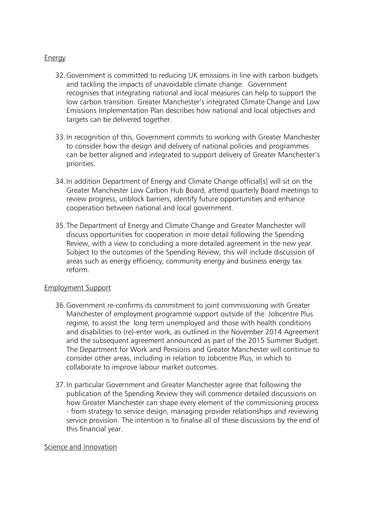# Energy

- 32.Government is committed to reducing UK emissions in line with carbon budgets and tackling the impacts of unavoidable climate change. Government recognises that integrating national and local measures can help to support the low carbon transition. Greater Manchester's integrated Climate Change and Low Emissions Implementation Plan describes how national and local objectives and targets can be delivered together.
- 33.In recognition of this, Government commits to working with Greater Manchester to consider how the design and delivery of national policies and programmes can be better aligned and integrated to support delivery of Greater Manchester's priorities.
- 34.In addition Department of Energy and Climate Change official[s] will sit on the Greater Manchester Low Carbon Hub Board, attend quarterly Board meetings to review progress, unblock barriers, identify future opportunities and enhance cooperation between national and local government.
- 35.The Department of Energy and Climate Change and Greater Manchester will discuss opportunities for cooperation in more detail following the Spending Review, with a view to concluding a more detailed agreement in the new year. Subject to the outcomes of the Spending Review, this will include discussion of areas such as energy efficiency, community energy and business energy tax reform.

### Employment Support

- 36.Government re-confirms its commitment to joint commissioning with Greater Manchester of employment programme support outside of the Jobcentre Plus regime, to assist the long term unemployed and those with health conditions and disabilities to (re)-enter work, as outlined in the November 2014 Agreement and the subsequent agreement announced as part of the 2015 Summer Budget. The Department for Work and Pensions and Greater Manchester will continue to consider other areas, including in relation to Jobcentre Plus, in which to collaborate to improve labour market outcomes.
- 37.In particular Government and Greater Manchester agree that following the publication of the Spending Review they will commence detailed discussions on how Greater Manchester can shape every element of the commissioning process - from strategy to service design, managing provider relationships and reviewing service provision. The intention is to finalise all of these discussions by the end of this financial year.

### Science and Innovation